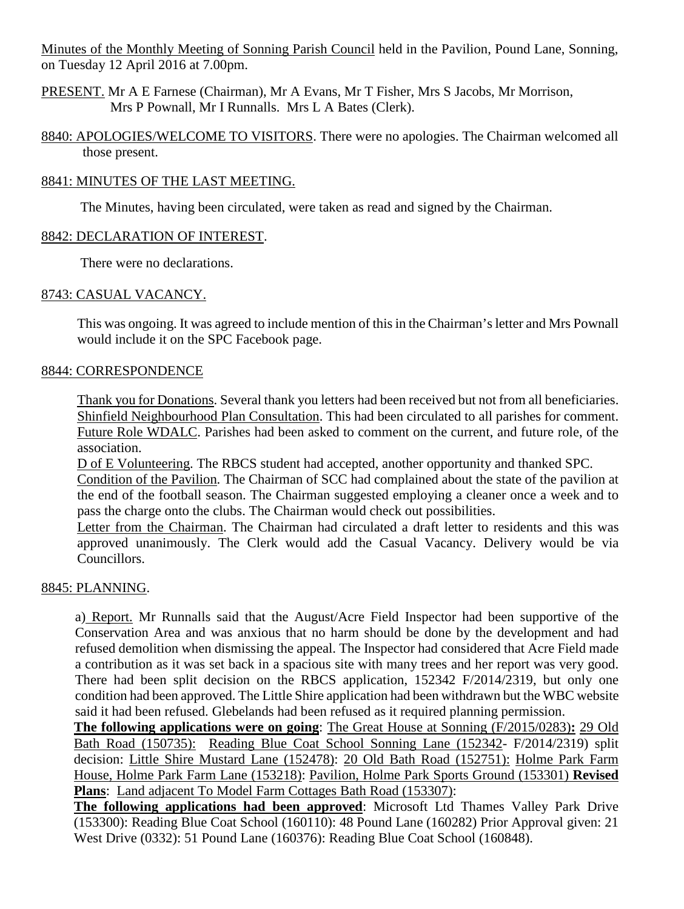Minutes of the Monthly Meeting of Sonning Parish Council held in the Pavilion, Pound Lane, Sonning, on Tuesday 12 April 2016 at 7.00pm.

PRESENT. Mr A E Farnese (Chairman), Mr A Evans, Mr T Fisher, Mrs S Jacobs, Mr Morrison, Mrs P Pownall, Mr I Runnalls. Mrs L A Bates (Clerk).

8840: APOLOGIES/WELCOME TO VISITORS. There were no apologies. The Chairman welcomed all those present.

## 8841: MINUTES OF THE LAST MEETING.

The Minutes, having been circulated, were taken as read and signed by the Chairman.

## 8842: DECLARATION OF INTEREST.

There were no declarations.

## 8743: CASUAL VACANCY.

This was ongoing. It was agreed to include mention of this in the Chairman's letter and Mrs Pownall would include it on the SPC Facebook page.

## 8844: CORRESPONDENCE

Thank you for Donations. Several thank you letters had been received but not from all beneficiaries. Shinfield Neighbourhood Plan Consultation. This had been circulated to all parishes for comment. Future Role WDALC. Parishes had been asked to comment on the current, and future role, of the association.

D of E Volunteering. The RBCS student had accepted, another opportunity and thanked SPC. Condition of the Pavilion. The Chairman of SCC had complained about the state of the pavilion at

the end of the football season. The Chairman suggested employing a cleaner once a week and to pass the charge onto the clubs. The Chairman would check out possibilities.

Letter from the Chairman. The Chairman had circulated a draft letter to residents and this was approved unanimously. The Clerk would add the Casual Vacancy. Delivery would be via Councillors.

# 8845: PLANNING.

a) Report. Mr Runnalls said that the August/Acre Field Inspector had been supportive of the Conservation Area and was anxious that no harm should be done by the development and had refused demolition when dismissing the appeal. The Inspector had considered that Acre Field made a contribution as it was set back in a spacious site with many trees and her report was very good. There had been split decision on the RBCS application, 152342 F/2014/2319, but only one condition had been approved. The Little Shire application had been withdrawn but the WBC website said it had been refused. Glebelands had been refused as it required planning permission.

**The following applications were on going**: The Great House at Sonning (F/2015/0283)**:** 29 Old Bath Road (150735): Reading Blue Coat School Sonning Lane (152342- F/2014/2319) split decision: Little Shire Mustard Lane (152478): 20 Old Bath Road (152751): Holme Park Farm House, Holme Park Farm Lane (153218): Pavilion, Holme Park Sports Ground (153301) **Revised Plans**: Land adjacent To Model Farm Cottages Bath Road (153307):

**The following applications had been approved**: Microsoft Ltd Thames Valley Park Drive (153300): Reading Blue Coat School (160110): 48 Pound Lane (160282) Prior Approval given: 21 West Drive (0332): 51 Pound Lane (160376): Reading Blue Coat School (160848).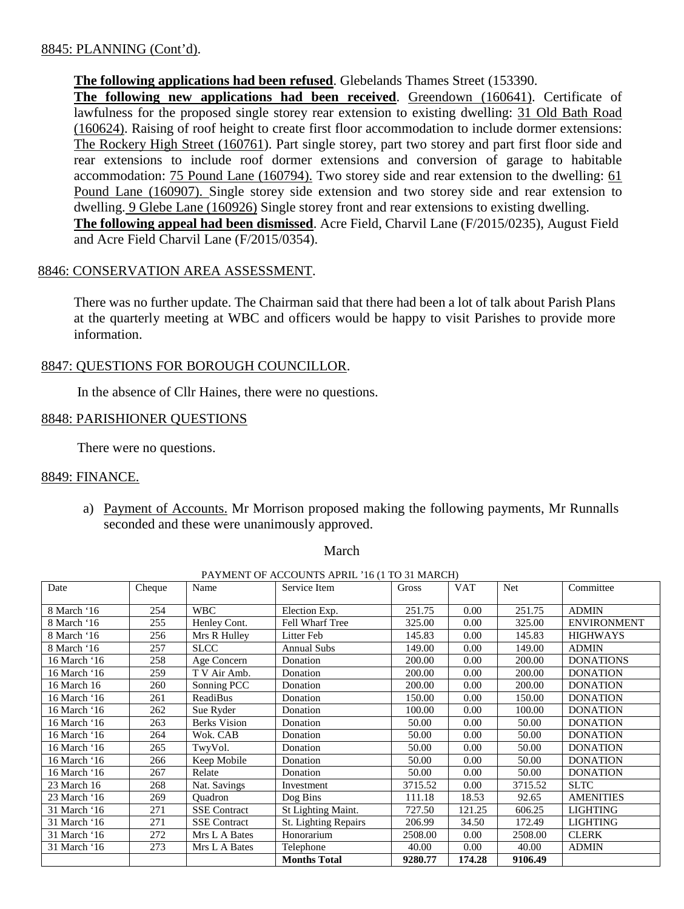## 8845: PLANNING (Cont'd).

## **The following applications had been refused**. Glebelands Thames Street (153390.

**The following new applications had been received**. Greendown (160641). Certificate of lawfulness for the proposed single storey rear extension to existing dwelling: 31 Old Bath Road (160624). Raising of roof height to create first floor accommodation to include dormer extensions: The Rockery High Street (160761). Part single storey, part two storey and part first floor side and rear extensions to include roof dormer extensions and conversion of garage to habitable accommodation: 75 Pound Lane (160794). Two storey side and rear extension to the dwelling: 61 Pound Lane (160907). Single storey side extension and two storey side and rear extension to dwelling. 9 Glebe Lane (160926) Single storey front and rear extensions to existing dwelling. **The following appeal had been dismissed**. Acre Field, Charvil Lane (F/2015/0235), August Field

and Acre Field Charvil Lane (F/2015/0354).

#### 8846: CONSERVATION AREA ASSESSMENT.

There was no further update. The Chairman said that there had been a lot of talk about Parish Plans at the quarterly meeting at WBC and officers would be happy to visit Parishes to provide more information.

## 8847: QUESTIONS FOR BOROUGH COUNCILLOR.

In the absence of Cllr Haines, there were no questions.

#### 8848: PARISHIONER QUESTIONS

There were no questions.

#### 8849: FINANCE.

a) Payment of Accounts. Mr Morrison proposed making the following payments, Mr Runnalls seconded and these were unanimously approved.

**March** March

PAYMENT OF ACCOUNTS APRIL '16 (1 TO 31 MARCH)

| Date         | Cheque | Name                | Service Item           | Gross   | <b>VAT</b> | Net     | Committee          |
|--------------|--------|---------------------|------------------------|---------|------------|---------|--------------------|
| 8 March '16  | 254    | <b>WBC</b>          | Election Exp.          | 251.75  | 0.00       | 251.75  | <b>ADMIN</b>       |
| 8 March '16  | 255    | Henley Cont.        | <b>Fell Wharf Tree</b> | 325.00  | 0.00       | 325.00  | <b>ENVIRONMENT</b> |
| 8 March '16  | 256    | Mrs R Hulley        | Litter Feb             | 145.83  | 0.00       | 145.83  | <b>HIGHWAYS</b>    |
| 8 March '16  | 257    | <b>SLCC</b>         | <b>Annual Subs</b>     | 149.00  | 0.00       | 149.00  | <b>ADMIN</b>       |
| 16 March '16 | 258    | Age Concern         | Donation               | 200.00  | 0.00       | 200.00  | <b>DONATIONS</b>   |
| 16 March '16 | 259    | T V Air Amb.        | Donation               | 200.00  | 0.00       | 200.00  | <b>DONATION</b>    |
| 16 March 16  | 260    | Sonning PCC         | Donation               | 200.00  | 0.00       | 200.00  | <b>DONATION</b>    |
| 16 March '16 | 261    | ReadiBus            | Donation               | 150.00  | 0.00       | 150.00  | <b>DONATION</b>    |
| 16 March '16 | 262    | Sue Ryder           | Donation               | 100.00  | 0.00       | 100.00  | <b>DONATION</b>    |
| 16 March '16 | 263    | <b>Berks Vision</b> | Donation               | 50.00   | 0.00       | 50.00   | <b>DONATION</b>    |
| 16 March '16 | 264    | Wok. CAB            | Donation               | 50.00   | 0.00       | 50.00   | <b>DONATION</b>    |
| 16 March '16 | 265    | TwyVol.             | Donation               | 50.00   | 0.00       | 50.00   | <b>DONATION</b>    |
| 16 March '16 | 266    | Keep Mobile         | Donation               | 50.00   | 0.00       | 50.00   | <b>DONATION</b>    |
| 16 March '16 | 267    | Relate              | Donation               | 50.00   | 0.00       | 50.00   | <b>DONATION</b>    |
| 23 March 16  | 268    | Nat. Savings        | Investment             | 3715.52 | 0.00       | 3715.52 | <b>SLTC</b>        |
| 23 March '16 | 269    | Ouadron             | Dog Bins               | 111.18  | 18.53      | 92.65   | <b>AMENITIES</b>   |
| 31 March '16 | 271    | <b>SSE Contract</b> | St Lighting Maint.     | 727.50  | 121.25     | 606.25  | <b>LIGHTING</b>    |
| 31 March '16 | 271    | <b>SSE Contract</b> | St. Lighting Repairs   | 206.99  | 34.50      | 172.49  | <b>LIGHTING</b>    |
| 31 March '16 | 272    | Mrs L A Bates       | Honorarium             | 2508.00 | 0.00       | 2508.00 | <b>CLERK</b>       |
| 31 March '16 | 273    | Mrs L A Bates       | Telephone              | 40.00   | 0.00       | 40.00   | <b>ADMIN</b>       |
|              |        |                     | <b>Months Total</b>    | 9280.77 | 174.28     | 9106.49 |                    |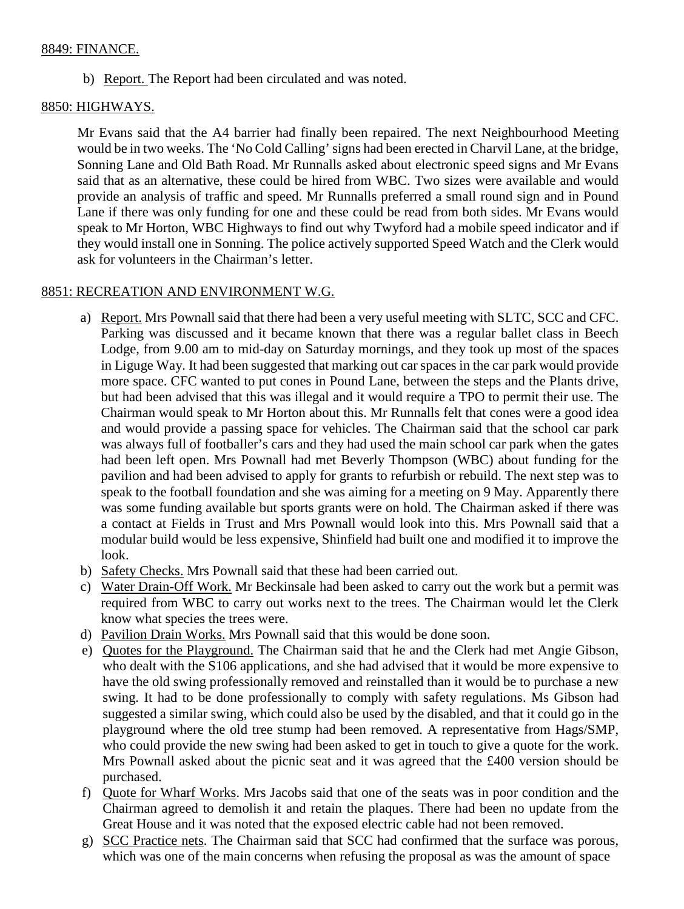## 8849: FINANCE.

b) Report. The Report had been circulated and was noted.

# 8850: HIGHWAYS.

Mr Evans said that the A4 barrier had finally been repaired. The next Neighbourhood Meeting would be in two weeks. The 'No Cold Calling' signs had been erected in Charvil Lane, at the bridge, Sonning Lane and Old Bath Road. Mr Runnalls asked about electronic speed signs and Mr Evans said that as an alternative, these could be hired from WBC. Two sizes were available and would provide an analysis of traffic and speed. Mr Runnalls preferred a small round sign and in Pound Lane if there was only funding for one and these could be read from both sides. Mr Evans would speak to Mr Horton, WBC Highways to find out why Twyford had a mobile speed indicator and if they would install one in Sonning. The police actively supported Speed Watch and the Clerk would ask for volunteers in the Chairman's letter.

# 8851: RECREATION AND ENVIRONMENT W.G.

- a) Report. Mrs Pownall said that there had been a very useful meeting with SLTC, SCC and CFC. Parking was discussed and it became known that there was a regular ballet class in Beech Lodge, from 9.00 am to mid-day on Saturday mornings, and they took up most of the spaces in Liguge Way. It had been suggested that marking out car spaces in the car park would provide more space. CFC wanted to put cones in Pound Lane, between the steps and the Plants drive, but had been advised that this was illegal and it would require a TPO to permit their use. The Chairman would speak to Mr Horton about this. Mr Runnalls felt that cones were a good idea and would provide a passing space for vehicles. The Chairman said that the school car park was always full of footballer's cars and they had used the main school car park when the gates had been left open. Mrs Pownall had met Beverly Thompson (WBC) about funding for the pavilion and had been advised to apply for grants to refurbish or rebuild. The next step was to speak to the football foundation and she was aiming for a meeting on 9 May. Apparently there was some funding available but sports grants were on hold. The Chairman asked if there was a contact at Fields in Trust and Mrs Pownall would look into this. Mrs Pownall said that a modular build would be less expensive, Shinfield had built one and modified it to improve the look.
- b) Safety Checks. Mrs Pownall said that these had been carried out.
- c) Water Drain-Off Work. Mr Beckinsale had been asked to carry out the work but a permit was required from WBC to carry out works next to the trees. The Chairman would let the Clerk know what species the trees were.
- d) Pavilion Drain Works. Mrs Pownall said that this would be done soon.
- e) Quotes for the Playground. The Chairman said that he and the Clerk had met Angie Gibson, who dealt with the S106 applications, and she had advised that it would be more expensive to have the old swing professionally removed and reinstalled than it would be to purchase a new swing. It had to be done professionally to comply with safety regulations. Ms Gibson had suggested a similar swing, which could also be used by the disabled, and that it could go in the playground where the old tree stump had been removed. A representative from Hags/SMP, who could provide the new swing had been asked to get in touch to give a quote for the work. Mrs Pownall asked about the picnic seat and it was agreed that the £400 version should be purchased.
- f) Quote for Wharf Works. Mrs Jacobs said that one of the seats was in poor condition and the Chairman agreed to demolish it and retain the plaques. There had been no update from the Great House and it was noted that the exposed electric cable had not been removed.
- g) SCC Practice nets. The Chairman said that SCC had confirmed that the surface was porous, which was one of the main concerns when refusing the proposal as was the amount of space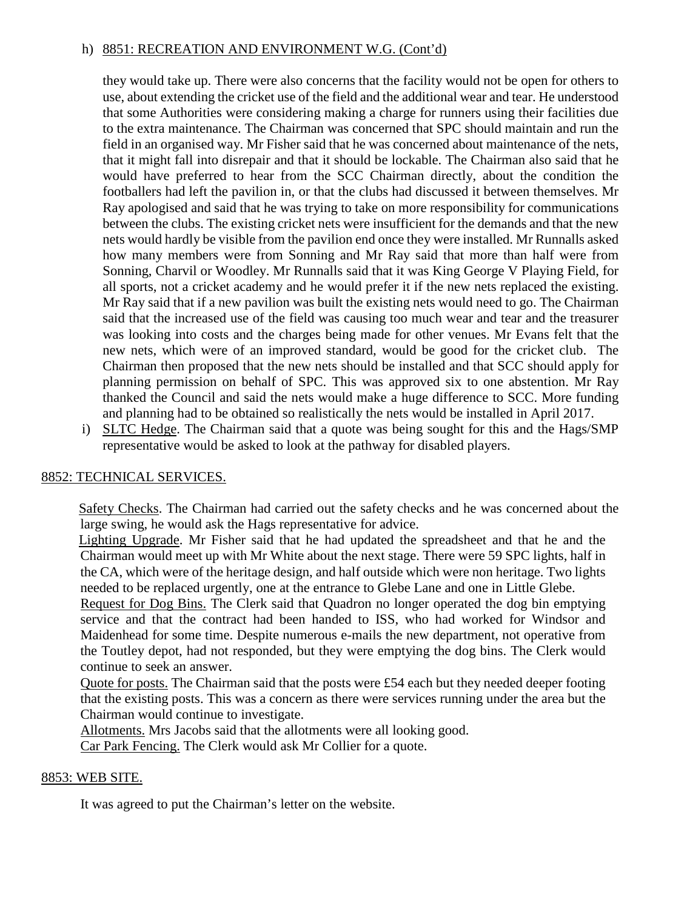## h) 8851: RECREATION AND ENVIRONMENT W.G. (Cont'd)

they would take up. There were also concerns that the facility would not be open for others to use, about extending the cricket use of the field and the additional wear and tear. He understood that some Authorities were considering making a charge for runners using their facilities due to the extra maintenance. The Chairman was concerned that SPC should maintain and run the field in an organised way. Mr Fisher said that he was concerned about maintenance of the nets, that it might fall into disrepair and that it should be lockable. The Chairman also said that he would have preferred to hear from the SCC Chairman directly, about the condition the footballers had left the pavilion in, or that the clubs had discussed it between themselves. Mr Ray apologised and said that he was trying to take on more responsibility for communications between the clubs. The existing cricket nets were insufficient for the demands and that the new nets would hardly be visible from the pavilion end once they were installed. Mr Runnalls asked how many members were from Sonning and Mr Ray said that more than half were from Sonning, Charvil or Woodley. Mr Runnalls said that it was King George V Playing Field, for all sports, not a cricket academy and he would prefer it if the new nets replaced the existing. Mr Ray said that if a new pavilion was built the existing nets would need to go. The Chairman said that the increased use of the field was causing too much wear and tear and the treasurer was looking into costs and the charges being made for other venues. Mr Evans felt that the new nets, which were of an improved standard, would be good for the cricket club. The Chairman then proposed that the new nets should be installed and that SCC should apply for planning permission on behalf of SPC. This was approved six to one abstention. Mr Ray thanked the Council and said the nets would make a huge difference to SCC. More funding and planning had to be obtained so realistically the nets would be installed in April 2017.

i) SLTC Hedge. The Chairman said that a quote was being sought for this and the Hags/SMP representative would be asked to look at the pathway for disabled players.

# 8852: TECHNICAL SERVICES.

 Safety Checks. The Chairman had carried out the safety checks and he was concerned about the large swing, he would ask the Hags representative for advice.

 Lighting Upgrade. Mr Fisher said that he had updated the spreadsheet and that he and the Chairman would meet up with Mr White about the next stage. There were 59 SPC lights, half in the CA, which were of the heritage design, and half outside which were non heritage. Two lights needed to be replaced urgently, one at the entrance to Glebe Lane and one in Little Glebe.

Request for Dog Bins. The Clerk said that Quadron no longer operated the dog bin emptying service and that the contract had been handed to ISS, who had worked for Windsor and Maidenhead for some time. Despite numerous e-mails the new department, not operative from the Toutley depot, had not responded, but they were emptying the dog bins. The Clerk would continue to seek an answer.

Quote for posts. The Chairman said that the posts were £54 each but they needed deeper footing that the existing posts. This was a concern as there were services running under the area but the Chairman would continue to investigate.

Allotments. Mrs Jacobs said that the allotments were all looking good.

Car Park Fencing. The Clerk would ask Mr Collier for a quote.

## 8853: WEB SITE.

It was agreed to put the Chairman's letter on the website.